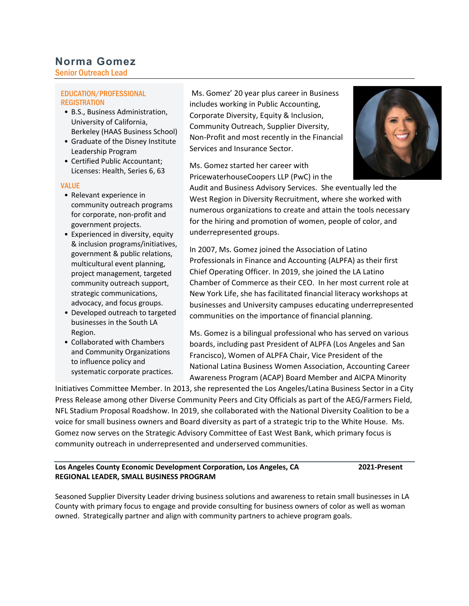# **Norma Gomez**

Senior Outreach Lead

#### EDUCATION/PROFESSIONAL **REGISTRATION**

- B.S., Business Administration, University of California, Berkeley (HAAS Business School)
- Graduate of the Disney Institute Leadership Program
- Certified Public Accountant; Licenses: Health, Series 6, 63

#### VALUE

- Relevant experience in community outreach programs for corporate, non-profit and government projects.
- Experienced in diversity, equity & inclusion programs/initiatives, government & public relations, multicultural event planning, project management, targeted community outreach support, strategic communications, advocacy, and focus groups.
- Developed outreach to targeted businesses in the South LA Region.
- Collaborated with Chambers and Community Organizations to influence policy and systematic corporate practices.

Ms. Gomez' 20 year plus career in Business includes working in Public Accounting, Corporate Diversity, Equity & Inclusion, Community Outreach, Supplier Diversity, Non-Profit and most recently in the Financial Services and Insurance Sector.

Ms. Gomez started her career with PricewaterhouseCoopers LLP (PwC) in the



Audit and Business Advisory Services. She eventually led the West Region in Diversity Recruitment, where she worked with numerous organizations to create and attain the tools necessary for the hiring and promotion of women, people of color, and underrepresented groups.

In 2007, Ms. Gomez joined the Association of Latino Professionals in Finance and Accounting (ALPFA) as their first Chief Operating Officer. In 2019, she joined the LA Latino Chamber of Commerce as their CEO. In her most current role at New York Life, she has facilitated financial literacy workshops at businesses and University campuses educating underrepresented communities on the importance of financial planning.

Ms. Gomez is a bilingual professional who has served on various boards, including past President of ALPFA (Los Angeles and San Francisco), Women of ALPFA Chair, Vice President of the National Latina Business Women Association, Accounting Career Awareness Program (ACAP) Board Member and AICPA Minority

Initiatives Committee Member. In 2013, she represented the Los Angeles/Latina Business Sector in a City Press Release among other Diverse Community Peers and City Officials as part of the AEG/Farmers Field, NFL Stadium Proposal Roadshow. In 2019, she collaborated with the National Diversity Coalition to be a voice for small business owners and Board diversity as part of a strategic trip to the White House. Ms. Gomez now serves on the Strategic Advisory Committee of East West Bank, which primary focus is community outreach in underrepresented and underserved communities.  $\overline{1}$ 

**Los Angeles County Economic Development Corporation, Los Angeles, CA 2021-Present REGIONAL LEADER, SMALL BUSINESS PROGRAM**

Seasoned Supplier Diversity Leader driving business solutions and awareness to retain small businesses in LA County with primary focus to engage and provide consulting for business owners of color as well as woman owned. Strategically partner and align with community partners to achieve program goals.